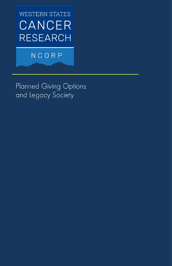**WESTERN STATES** CANCER **RESEARCH** 

# NCORP

Planned Giving Options and Legacy Society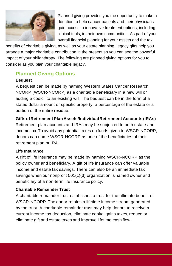

Planned giving provides you the opportunity to make a donation to help cancer patients and their physicians gain access to innovative treatment options, including clinical trials, in their own communities. As part of your overall financial planning for your assets and the tax

benefits of charitable giving, as well as your estate planning, legacy gifts help you arrange a major charitable contribution in the present so you can see the powerful impact of your philanthropy. The following are planned giving options for you to consider as you plan your charitable legacy.

## **Planned Giving Options**

#### **Bequest**

A bequest can be made by naming Western States Cancer Research NCORP (WSCR-NCORP) as a charitable beneficiary in a new will or adding a codicil to an existing will. The bequest can be in the form of a stated dollar amount or specific property, a percentage of the estate or a portion of the entire residue.

#### **GiftsofRetirement Plan Assets/IndividualRetirement Accounts (IRAs)**

Retirement plan accounts and IRAs may be subjected to both estate and income tax.To avoid any potential taxes on funds given to WSCR-NCORP, donors can name WSCR-NCORP as one of the beneficiaries of their retirement plan or IRA.

#### **Life Insurance**

A gift of life insurance may be made by naming WSCR-NCORP as the policy owner and beneficiary. A gift of life insurance can offer valuable income and estate tax savings. There can also be an immediate tax savings when our nonprofit 501(c)(3) organization is named owner and beneficiary of a non-term life insurance policy.

#### **Charitable Remainder Trust**

A charitable remainder trust establishes a trust for the ultimate benefit of WSCR-NCORP. The donor retains a lifetime income stream generated by the trust. A charitable remainder trust may help donors to receive a current income tax deduction, eliminate capital gains taxes, reduce or eliminate gift and estate taxes and improve lifetime cash flow.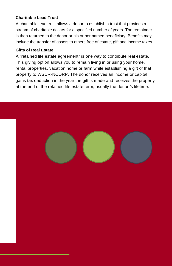#### **Charitable Lead Trust**

A charitable lead trust allows a donor to establish a trust that provides a stream of charitable dollars for a specified number of years. The remainder is then returned to the donor or his or her named beneficiary. Benefits may include the transfer of assets to others free of estate, gift and income taxes.

#### **Gifts of Real Estate**

A "retained life estate agreement" is one way to contribute real estate. This giving option allows you to remain living in or using your home, rental properties, vacation home or farm while establishing a gift of that property to WSCR-NCORP. The donor receives an income or capital gains tax deduction in the year the gift is made and receives the property at the end of the retained life estate term, usually the donor 's lifetime.